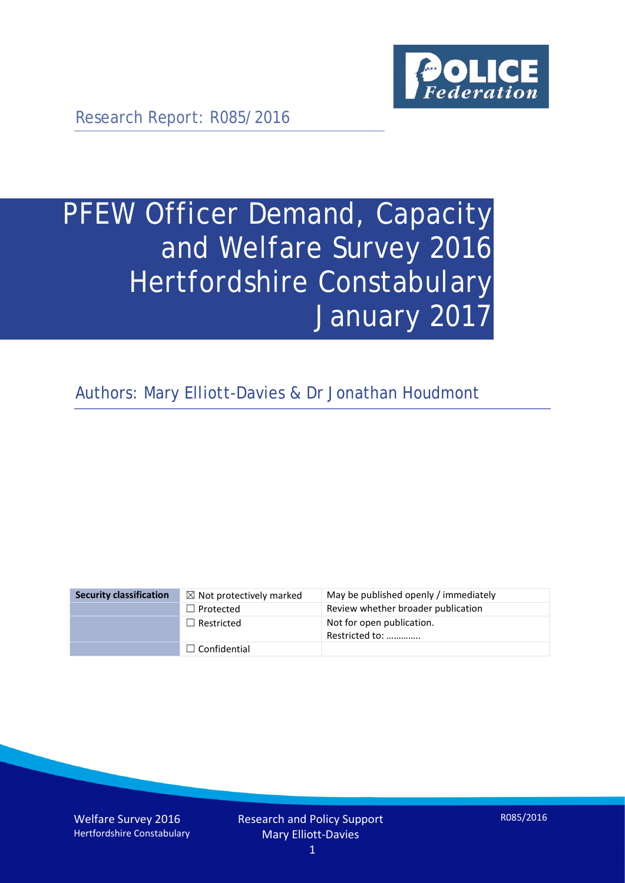

Research Report: R085/2016

# PFEW Officer Demand, Capacity and Welfare Survey 2016 Hertfordshire Constabulary January 2017

Authors: Mary Elliott-Davies & Dr Jonathan Houdmont

| <b>Security classification</b> | $\boxtimes$ Not protectively marked | May be published openly / immediately       |
|--------------------------------|-------------------------------------|---------------------------------------------|
|                                | $\Box$ Protected                    | Review whether broader publication          |
|                                | $\Box$ Restricted                   | Not for open publication.<br>Restricted to: |
|                                | $\Box$ Confidential                 |                                             |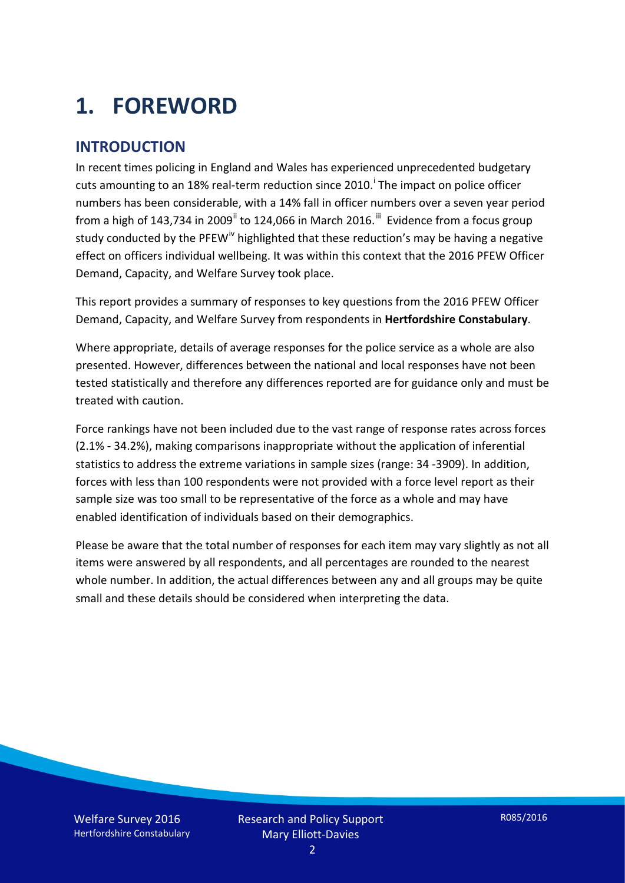# **1. FOREWORD**

#### **INTRODUCTION**

In recent times policing in England and Wales has experienced unprecedented budgetary cuts amount[i](#page-15-0)ng to an 18% real-term reduction since 2010.<sup>1</sup> The impact on police officer numbers has been considerable, with a 14% fall in officer numbers over a seven year period from a high of 143,734 in 2009<sup>[ii](#page-15-1)</sup> to 124,066 in March 2016.<sup>[iii](#page-15-2)</sup> Evidence from a focus group study conducted by the PFEW<sup>[iv](#page-15-3)</sup> highlighted that these reduction's may be having a negative effect on officers individual wellbeing. It was within this context that the 2016 PFEW Officer Demand, Capacity, and Welfare Survey took place.

This report provides a summary of responses to key questions from the 2016 PFEW Officer Demand, Capacity, and Welfare Survey from respondents in **Hertfordshire Constabulary**.

Where appropriate, details of average responses for the police service as a whole are also presented. However, differences between the national and local responses have not been tested statistically and therefore any differences reported are for guidance only and must be treated with caution.

Force rankings have not been included due to the vast range of response rates across forces (2.1% - 34.2%), making comparisons inappropriate without the application of inferential statistics to address the extreme variations in sample sizes (range: 34 -3909). In addition, forces with less than 100 respondents were not provided with a force level report as their sample size was too small to be representative of the force as a whole and may have enabled identification of individuals based on their demographics.

Please be aware that the total number of responses for each item may vary slightly as not all items were answered by all respondents, and all percentages are rounded to the nearest whole number. In addition, the actual differences between any and all groups may be quite small and these details should be considered when interpreting the data.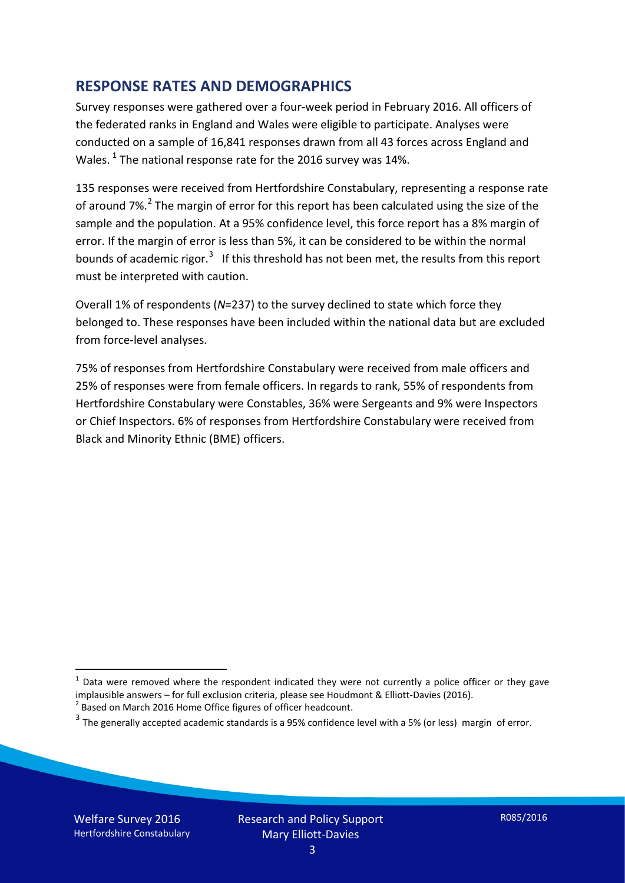#### **RESPONSE RATES AND DEMOGRAPHICS**

Survey responses were gathered over a four-week period in February 2016. All officers of the federated ranks in England and Wales were eligible to participate. Analyses were conducted on a sample of 16,841 responses drawn from all 43 forces across England and Wales.  $^1$  $^1$  The national response rate for the 2016 survey was 14%.

135 responses were received from Hertfordshire Constabulary, representing a response rate of around 7%.<sup>[2](#page-2-1)</sup> The margin of error for this report has been calculated using the size of the sample and the population. At a 95% confidence level, this force report has a 8% margin of error. If the margin of error is less than 5%, it can be considered to be within the normal bounds of academic rigor.<sup>[3](#page-2-2)</sup> If this threshold has not been met, the results from this report must be interpreted with caution.

Overall 1% of respondents (*N*=237) to the survey declined to state which force they belonged to. These responses have been included within the national data but are excluded from force-level analyses.

75% of responses from Hertfordshire Constabulary were received from male officers and 25% of responses were from female officers. In regards to rank, 55% of respondents from Hertfordshire Constabulary were Constables, 36% were Sergeants and 9% were Inspectors or Chief Inspectors. 6% of responses from Hertfordshire Constabulary were received from Black and Minority Ethnic (BME) officers.

-

<span id="page-2-0"></span> $1$  Data were removed where the respondent indicated they were not currently a police officer or they gave implausible answers – for full exclusion criteria, please see Houdmont & Elliott-Davies (2016).<br><sup>2</sup> Based on March 2016 Home Office figures of officer headcount.

<span id="page-2-1"></span>

<span id="page-2-2"></span> $3$  The generally accepted academic standards is a 95% confidence level with a 5% (or less) margin of error.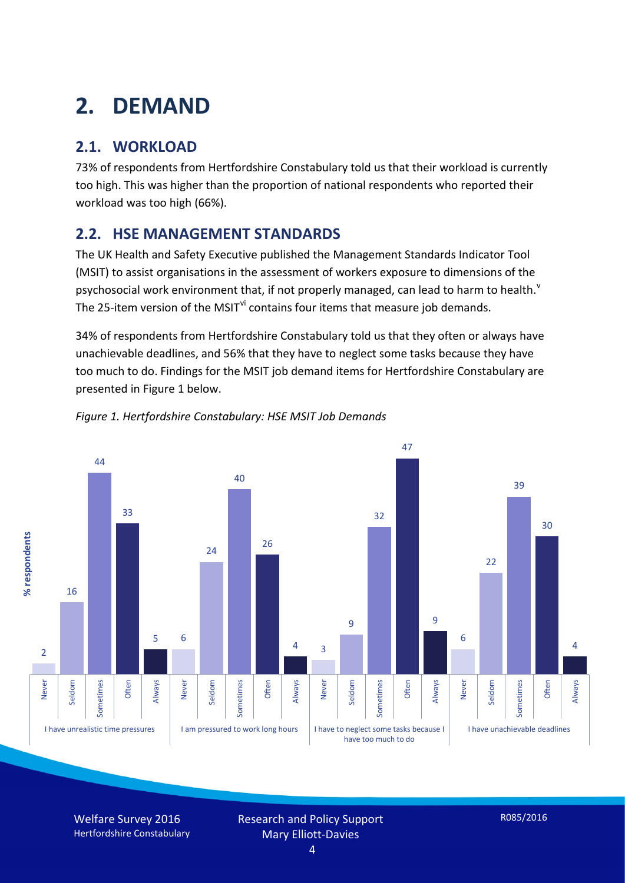# **2. DEMAND**

### **2.1. WORKLOAD**

73% of respondents from Hertfordshire Constabulary told us that their workload is currently too high. This was higher than the proportion of national respondents who reported their workload was too high (66%).

#### **2.2. HSE MANAGEMENT STANDARDS**

The UK Health and Safety Executive published the Management Standards Indicator Tool (MSIT) to assist organisations in the assessment of workers exposure to dimensions of the psychosocial work en[v](#page-15-4)ironment that, if not properly managed, can lead to harm to health.<sup>v</sup> The 25-item version of the MSIT<sup>[vi](#page-15-5)</sup> contains four items that measure job demands.

34% of respondents from Hertfordshire Constabulary told us that they often or always have unachievable deadlines, and 56% that they have to neglect some tasks because they have too much to do. Findings for the MSIT job demand items for Hertfordshire Constabulary are presented in Figure 1 below.





Welfare Survey 2016 Hertfordshire Constabulary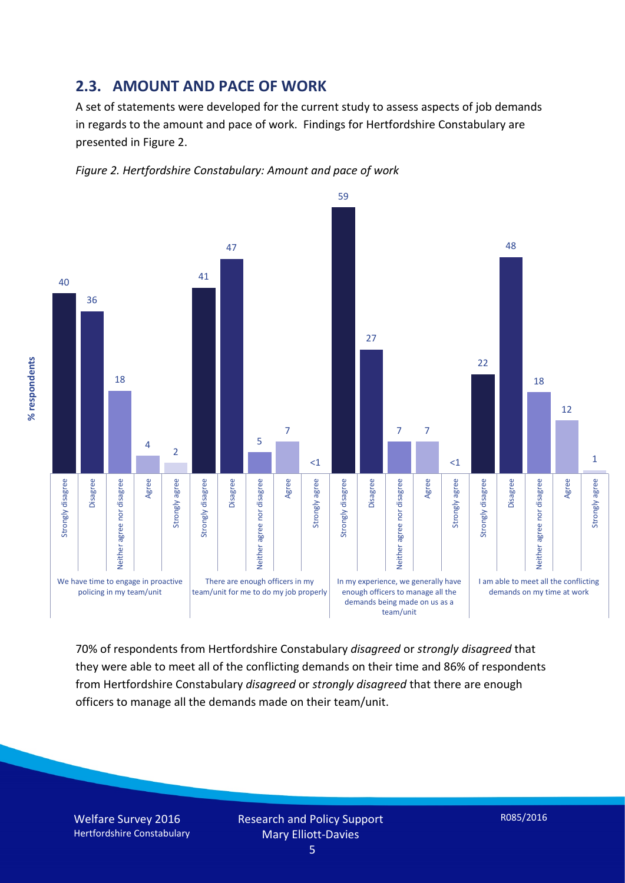#### **2.3. AMOUNT AND PACE OF WORK**

A set of statements were developed for the current study to assess aspects of job demands in regards to the amount and pace of work. Findings for Hertfordshire Constabulary are presented in Figure 2.





70% of respondents from Hertfordshire Constabulary *disagreed* or *strongly disagreed* that they were able to meet all of the conflicting demands on their time and 86% of respondents from Hertfordshire Constabulary *disagreed* or *strongly disagreed* that there are enough officers to manage all the demands made on their team/unit.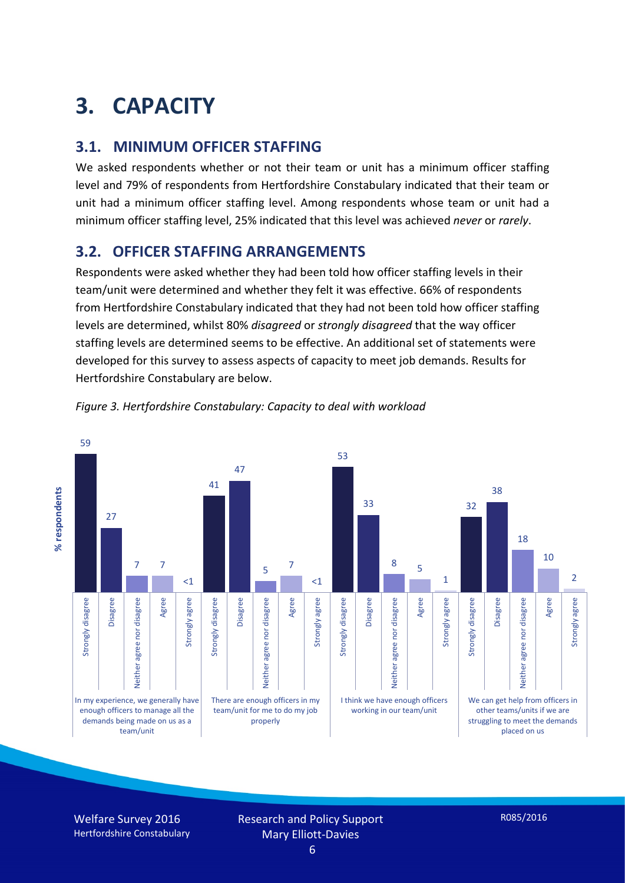# **3. CAPACITY**

#### **3.1. MINIMUM OFFICER STAFFING**

We asked respondents whether or not their team or unit has a minimum officer staffing level and 79% of respondents from Hertfordshire Constabulary indicated that their team or unit had a minimum officer staffing level. Among respondents whose team or unit had a minimum officer staffing level, 25% indicated that this level was achieved *never* or *rarely*.

#### **3.2. OFFICER STAFFING ARRANGEMENTS**

Respondents were asked whether they had been told how officer staffing levels in their team/unit were determined and whether they felt it was effective. 66% of respondents from Hertfordshire Constabulary indicated that they had not been told how officer staffing levels are determined, whilst 80% *disagreed* or *strongly disagreed* that the way officer staffing levels are determined seems to be effective. An additional set of statements were developed for this survey to assess aspects of capacity to meet job demands. Results for Hertfordshire Constabulary are below.



*Figure 3. Hertfordshire Constabulary: Capacity to deal with workload*

Welfare Survey 2016 Hertfordshire Constabulary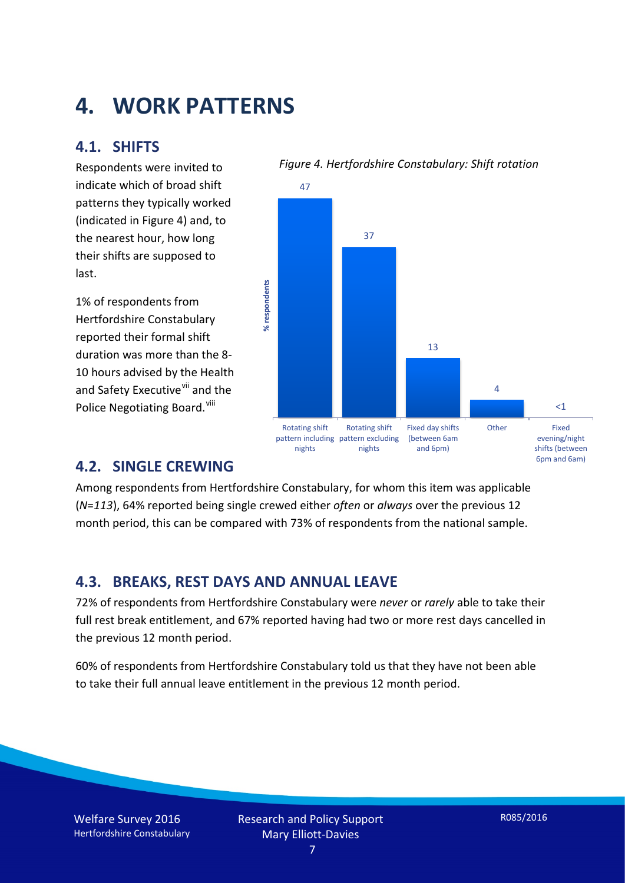## **4. WORK PATTERNS**

#### **4.1. SHIFTS**

Respondents were invited to indicate which of broad shift patterns they typically worked (indicated in Figure 4) and, to the nearest hour, how long their shifts are supposed to last.

1% of respondents from Hertfordshire Constabulary reported their formal shift duration was more than the 8- 10 hours advised by the Health and Safety Executive<sup>[vii](#page-15-6)</sup> and the Police Negotiating Board.<sup>[viii](#page-15-7)</sup>





#### **4.2. SINGLE CREWING**

Among respondents from Hertfordshire Constabulary, for whom this item was applicable (*N*=*113*), 64% reported being single crewed either *often* or *always* over the previous 12 month period, this can be compared with 73% of respondents from the national sample.

#### **4.3. BREAKS, REST DAYS AND ANNUAL LEAVE**

72% of respondents from Hertfordshire Constabulary were *never* or *rarely* able to take their full rest break entitlement, and 67% reported having had two or more rest days cancelled in the previous 12 month period.

60% of respondents from Hertfordshire Constabulary told us that they have not been able to take their full annual leave entitlement in the previous 12 month period.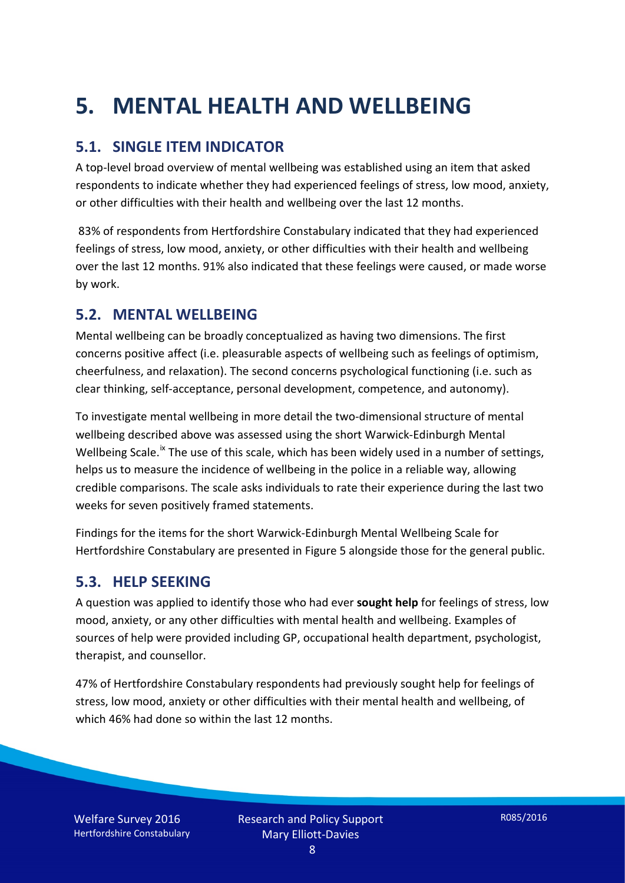# **5. MENTAL HEALTH AND WELLBEING**

#### **5.1. SINGLE ITEM INDICATOR**

A top-level broad overview of mental wellbeing was established using an item that asked respondents to indicate whether they had experienced feelings of stress, low mood, anxiety, or other difficulties with their health and wellbeing over the last 12 months.

83% of respondents from Hertfordshire Constabulary indicated that they had experienced feelings of stress, low mood, anxiety, or other difficulties with their health and wellbeing over the last 12 months. 91% also indicated that these feelings were caused, or made worse by work.

#### **5.2. MENTAL WELLBEING**

Mental wellbeing can be broadly conceptualized as having two dimensions. The first concerns positive affect (i.e. pleasurable aspects of wellbeing such as feelings of optimism, cheerfulness, and relaxation). The second concerns psychological functioning (i.e. such as clear thinking, self-acceptance, personal development, competence, and autonomy).

To investigate mental wellbeing in more detail the two-dimensional structure of mental wellbeing described above was assessed using the short Warwick-Edinburgh Mental Wellbeing Scale.<sup>[ix](#page-15-8)</sup> The use of this scale, which has been widely used in a number of settings, helps us to measure the incidence of wellbeing in the police in a reliable way, allowing credible comparisons. The scale asks individuals to rate their experience during the last two weeks for seven positively framed statements.

Findings for the items for the short Warwick-Edinburgh Mental Wellbeing Scale for Hertfordshire Constabulary are presented in Figure 5 alongside those for the general public.

#### **5.3. HELP SEEKING**

A question was applied to identify those who had ever **sought help** for feelings of stress, low mood, anxiety, or any other difficulties with mental health and wellbeing. Examples of sources of help were provided including GP, occupational health department, psychologist, therapist, and counsellor.

47% of Hertfordshire Constabulary respondents had previously sought help for feelings of stress, low mood, anxiety or other difficulties with their mental health and wellbeing, of which 46% had done so within the last 12 months.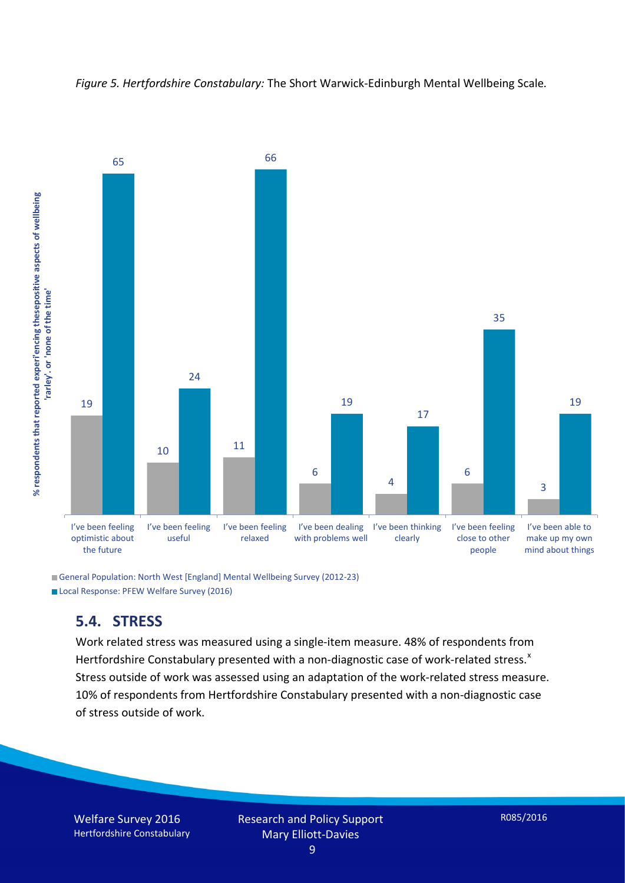



General Population: North West [England] Mental Wellbeing Survey (2012-23) Local Response: PFEW Welfare Survey (2016)

#### **5.4. STRESS**

Work related stress was measured using a single-item measure. 48% of respondents from Hertfordshire Constabulary presented with a non-diagnostic case of work-related stress. $^{x}$  $^{x}$  $^{x}$ Stress outside of work was assessed using an adaptation of the work-related stress measure. 10% of respondents from Hertfordshire Constabulary presented with a non-diagnostic case of stress outside of work.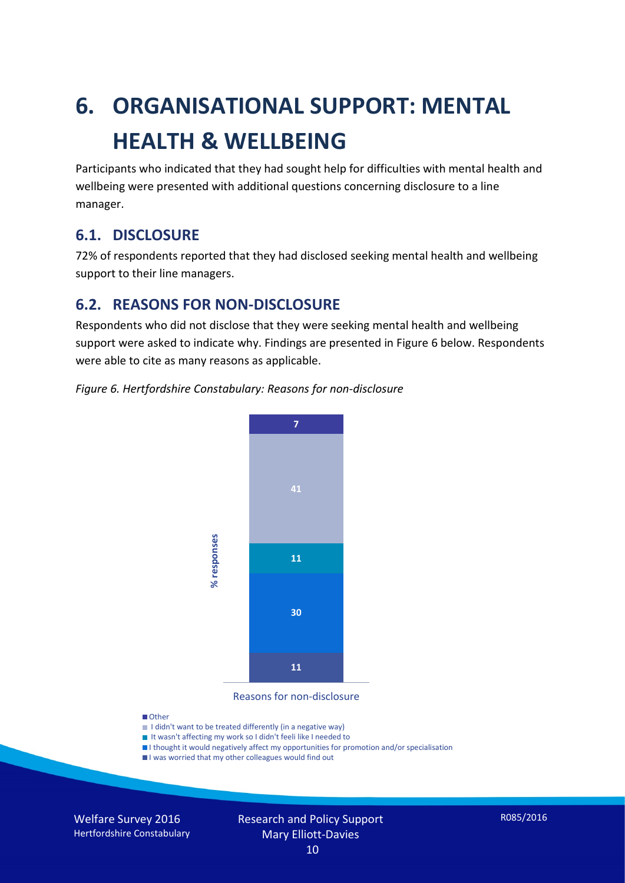# **6. ORGANISATIONAL SUPPORT: MENTAL HEALTH & WELLBEING**

Participants who indicated that they had sought help for difficulties with mental health and wellbeing were presented with additional questions concerning disclosure to a line manager.

#### **6.1. DISCLOSURE**

72% of respondents reported that they had disclosed seeking mental health and wellbeing support to their line managers.

#### **6.2. REASONS FOR NON-DISCLOSURE**

Respondents who did not disclose that they were seeking mental health and wellbeing support were asked to indicate why. Findings are presented in Figure 6 below. Respondents were able to cite as many reasons as applicable.





Reasons for non-disclosure

#### **D**Other

- I didn't want to be treated differently (in a negative way)
- I It wasn't affecting my work so I didn't feeli like I needed to
- I thought it would negatively affect my opportunities for promotion and/or specialisation
- I was worried that my other colleagues would find out

Welfare Survey 2016 Hertfordshire Constabulary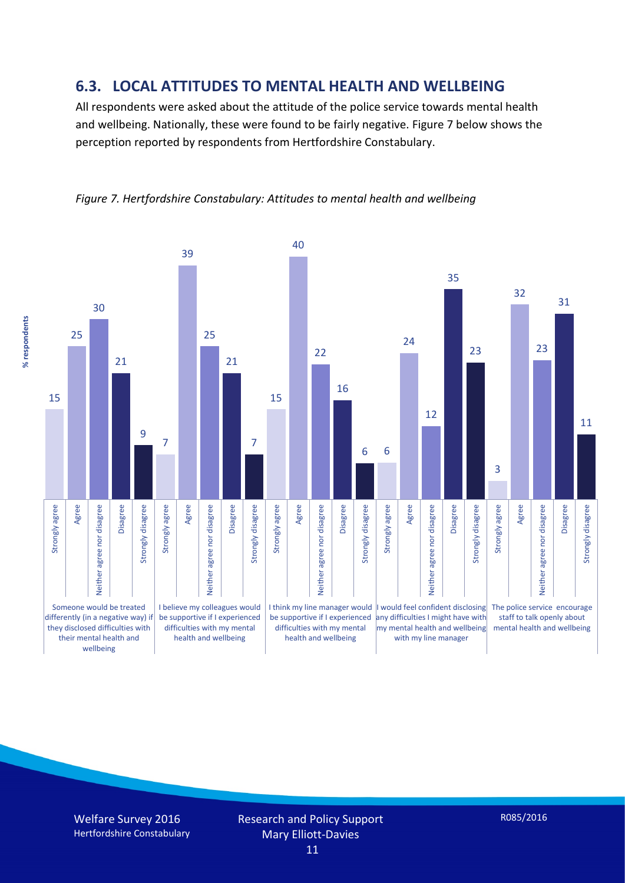#### **6.3. LOCAL ATTITUDES TO MENTAL HEALTH AND WELLBEING**

All respondents were asked about the attitude of the police service towards mental health and wellbeing. Nationally, these were found to be fairly negative. Figure 7 below shows the perception reported by respondents from Hertfordshire Constabulary.



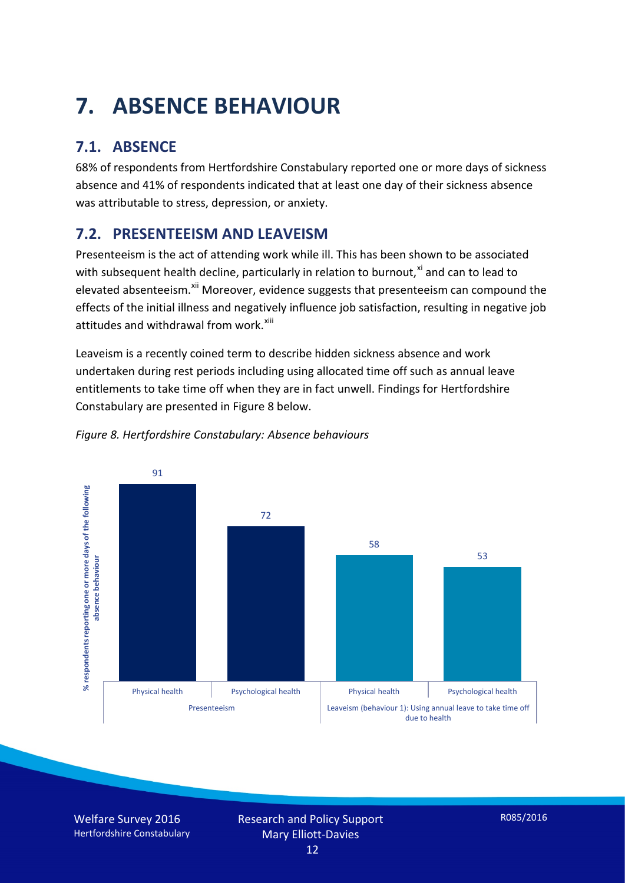# **7. ABSENCE BEHAVIOUR**

### **7.1. ABSENCE**

68% of respondents from Hertfordshire Constabulary reported one or more days of sickness absence and 41% of respondents indicated that at least one day of their sickness absence was attributable to stress, depression, or anxiety.

#### **7.2. PRESENTEEISM AND LEAVEISM**

Presenteeism is the act of attending work while ill. This has been shown to be associated with subsequent health decline, particularly in relation to burnout, $x_i$  and can to lead to elevated absenteeism.<sup>[xii](#page-16-1)</sup> Moreover, evidence suggests that presenteeism can compound the effects of the initial illness and negatively influence job satisfaction, resulting in negative job attitudes and withdrawal from work.<sup>[xiii](#page-16-2)</sup>

Leaveism is a recently coined term to describe hidden sickness absence and work undertaken during rest periods including using allocated time off such as annual leave entitlements to take time off when they are in fact unwell. Findings for Hertfordshire Constabulary are presented in Figure 8 below.



#### *Figure 8. Hertfordshire Constabulary: Absence behaviours*

Welfare Survey 2016 Hertfordshire Constabulary Research and Policy Support Mary Elliott-Davies 12

R085/2016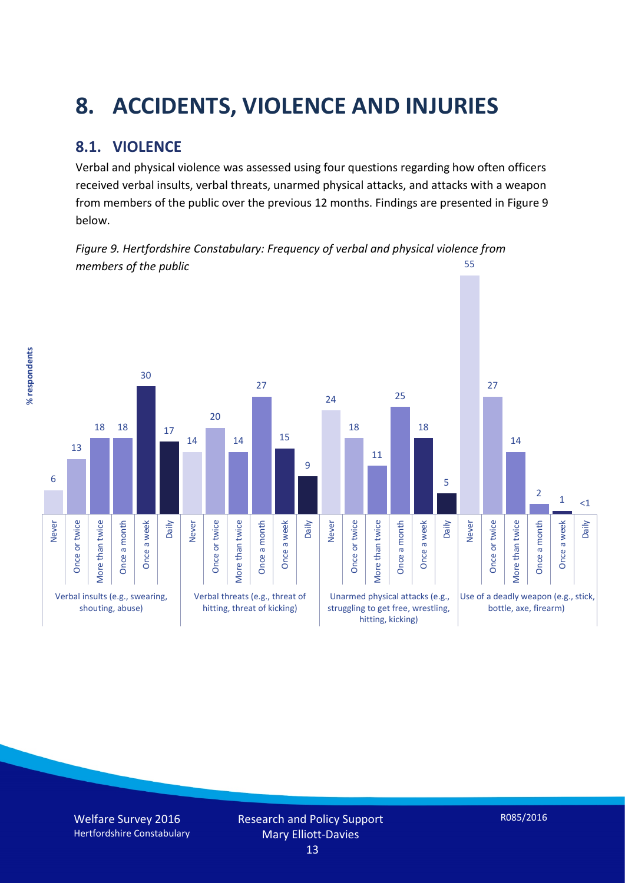# **8. ACCIDENTS, VIOLENCE AND INJURIES**

#### **8.1. VIOLENCE**

% respondents **% respondents** Verbal and physical violence was assessed using four questions regarding how often officers received verbal insults, verbal threats, unarmed physical attacks, and attacks with a weapon from members of the public over the previous 12 months. Findings are presented in Figure 9 below.

*Figure 9. Hertfordshire Constabulary: Frequency of verbal and physical violence from members of the public* 55

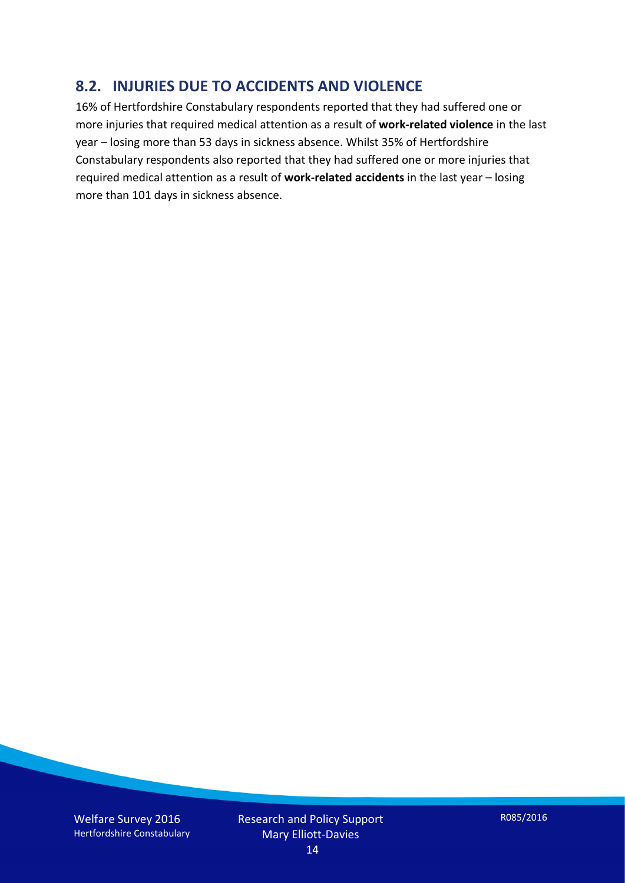#### **8.2. INJURIES DUE TO ACCIDENTS AND VIOLENCE**

16% of Hertfordshire Constabulary respondents reported that they had suffered one or more injuries that required medical attention as a result of **work-related violence** in the last year – losing more than 53 days in sickness absence. Whilst 35% of Hertfordshire Constabulary respondents also reported that they had suffered one or more injuries that required medical attention as a result of **work-related accidents** in the last year – losing more than 101 days in sickness absence.

Welfare Survey 2016 Hertfordshire Constabulary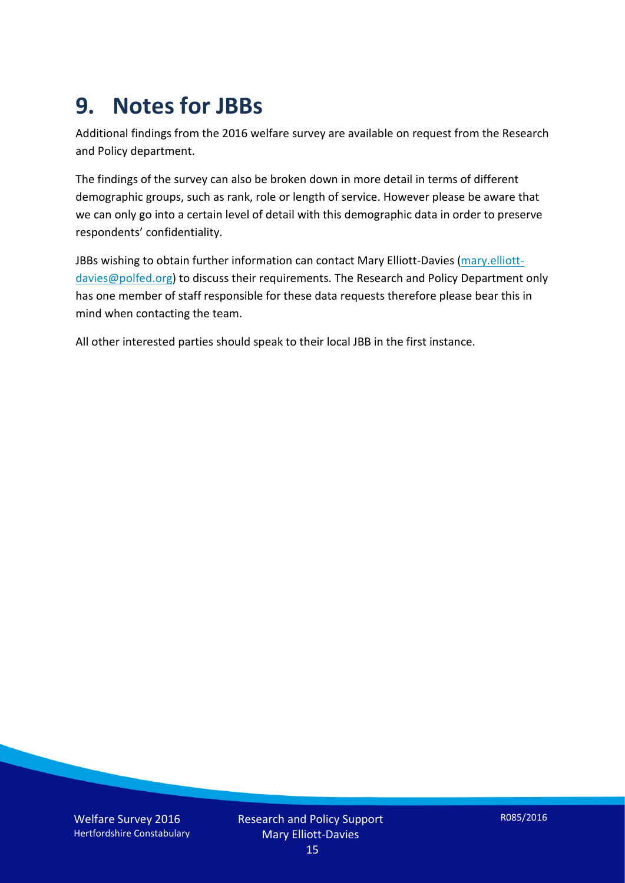## **9. Notes for JBBs**

Additional findings from the 2016 welfare survey are available on request from the Research and Policy department.

The findings of the survey can also be broken down in more detail in terms of different demographic groups, such as rank, role or length of service. However please be aware that we can only go into a certain level of detail with this demographic data in order to preserve respondents' confidentiality.

JBBs wishing to obtain further information can contact Mary Elliott-Davies [\(mary.elliott](mailto:mary.elliott-davies@polfed.org)[davies@polfed.org\)](mailto:mary.elliott-davies@polfed.org) to discuss their requirements. The Research and Policy Department only has one member of staff responsible for these data requests therefore please bear this in mind when contacting the team.

All other interested parties should speak to their local JBB in the first instance.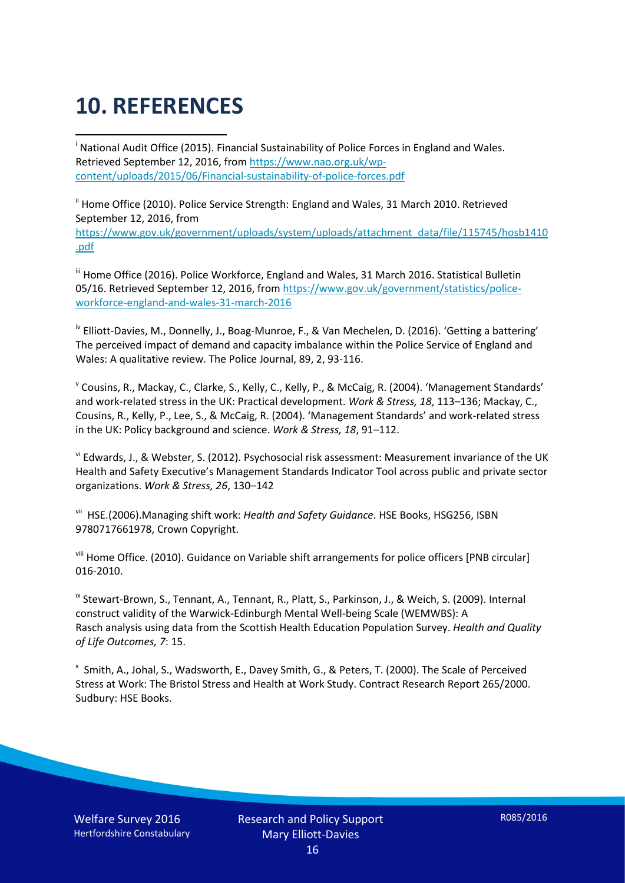# **10. REFERENCES**

<span id="page-15-0"></span>i National Audit Office (2015). Financial Sustainability of Police Forces in England and Wales. Retrieved September 12, 2016, fro[m https://www.nao.org.uk/wp](https://www.nao.org.uk/wp-content/uploads/2015/06/Financial-sustainability-of-police-forces.pdf)[content/uploads/2015/06/Financial-sustainability-of-police-forces.pdf](https://www.nao.org.uk/wp-content/uploads/2015/06/Financial-sustainability-of-police-forces.pdf)

<span id="page-15-1"></span><sup>ii</sup> Home Office (2010). Police Service Strength: England and Wales, 31 March 2010. Retrieved September 12, 2016, from [https://www.gov.uk/government/uploads/system/uploads/attachment\\_data/file/115745/hosb1410](https://www.gov.uk/government/uploads/system/uploads/attachment_data/file/115745/hosb1410.pdf) [.pdf](https://www.gov.uk/government/uploads/system/uploads/attachment_data/file/115745/hosb1410.pdf)

<span id="page-15-2"></span><sup>iii</sup> Home Office (2016). Police Workforce, England and Wales, 31 March 2016. Statistical Bulletin 05/16. Retrieved September 12, 2016, fro[m https://www.gov.uk/government/statistics/police](https://www.gov.uk/government/statistics/police-workforce-england-and-wales-31-march-2016)[workforce-england-and-wales-31-march-2016](https://www.gov.uk/government/statistics/police-workforce-england-and-wales-31-march-2016)

<span id="page-15-3"></span><sup>iv</sup> Elliott-Davies, M., Donnelly, J., Boag-Munroe, F., & Van Mechelen, D. (2016). 'Getting a battering' The perceived impact of demand and capacity imbalance within the Police Service of England and Wales: A qualitative review. The Police Journal, 89, 2, 93-116.

<span id="page-15-4"></span><sup>v</sup> Cousins, R., Mackay, C., Clarke, S., Kelly, C., Kelly, P., & McCaig, R. (2004). 'Management Standards' and work-related stress in the UK: Practical development. *Work & Stress, 18*, 113–136; Mackay, C., Cousins, R., Kelly, P., Lee, S., & McCaig, R. (2004). 'Management Standards' and work-related stress in the UK: Policy background and science. *Work & Stress, 18*, 91–112.

<span id="page-15-5"></span>vi Edwards, J., & Webster, S. (2012). Psychosocial risk assessment: Measurement invariance of the UK Health and Safety Executive's Management Standards Indicator Tool across public and private sector organizations. *Work & Stress, 26*, 130–142

<span id="page-15-6"></span>vii HSE.(2006).Managing shift work: *Health and Safety Guidance*. HSE Books, HSG256, ISBN 9780717661978, Crown Copyright.

<span id="page-15-7"></span>viii Home Office. (2010). Guidance on Variable shift arrangements for police officers [PNB circular] 016-2010.

<span id="page-15-8"></span><sup>ix</sup> Stewart-Brown, S., Tennant, A., Tennant, R., Platt, S., Parkinson, J., & Weich, S. (2009). Internal construct validity of the Warwick-Edinburgh Mental Well-being Scale (WEMWBS): A Rasch analysis using data from the Scottish Health Education Population Survey. *Health and Quality of Life Outcomes, 7*: 15.

<span id="page-15-9"></span>x Smith, A., Johal, S., Wadsworth, E., Davey Smith, G., & Peters, T. (2000). The Scale of Perceived Stress at Work: The Bristol Stress and Health at Work Study. Contract Research Report 265/2000. Sudbury: HSE Books.